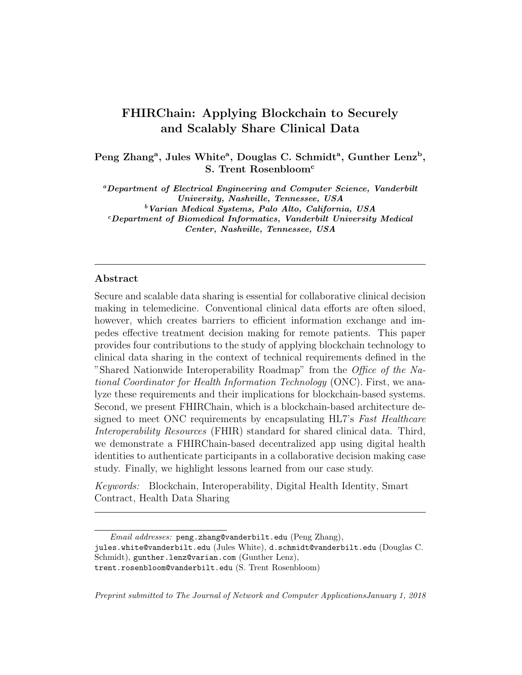# FHIRChain: Applying Blockchain to Securely and Scalably Share Clinical Data

Peng Zhang<sup>a</sup>, Jules White<sup>a</sup>, Douglas C. Schmidt<sup>a</sup>, Gunther Lenz<sup>b</sup>, S. Trent Rosenbloom<sup>c</sup>

<sup>a</sup>Department of Electrical Engineering and Computer Science, Vanderbilt University, Nashville, Tennessee, USA <sup>b</sup>Varian Medical Systems, Palo Alto, California, USA  $c$ Department of Biomedical Informatics, Vanderbilt University Medical Center, Nashville, Tennessee, USA

### Abstract

Secure and scalable data sharing is essential for collaborative clinical decision making in telemedicine. Conventional clinical data efforts are often siloed, however, which creates barriers to efficient information exchange and impedes effective treatment decision making for remote patients. This paper provides four contributions to the study of applying blockchain technology to clinical data sharing in the context of technical requirements defined in the "Shared Nationwide Interoperability Roadmap" from the Office of the National Coordinator for Health Information Technology (ONC). First, we analyze these requirements and their implications for blockchain-based systems. Second, we present FHIRChain, which is a blockchain-based architecture designed to meet ONC requirements by encapsulating HL7's Fast Healthcare Interoperability Resources (FHIR) standard for shared clinical data. Third, we demonstrate a FHIRChain-based decentralized app using digital health identities to authenticate participants in a collaborative decision making case study. Finally, we highlight lessons learned from our case study.

Keywords: Blockchain, Interoperability, Digital Health Identity, Smart Contract, Health Data Sharing

Preprint submitted to The Journal of Network and Computer ApplicationsJanuary 1, 2018

Email addresses: peng.zhang@vanderbilt.edu (Peng Zhang), jules.white@vanderbilt.edu (Jules White), d.schmidt@vanderbilt.edu (Douglas C. Schmidt), gunther.lenz@varian.com (Gunther Lenz), trent.rosenbloom@vanderbilt.edu (S. Trent Rosenbloom)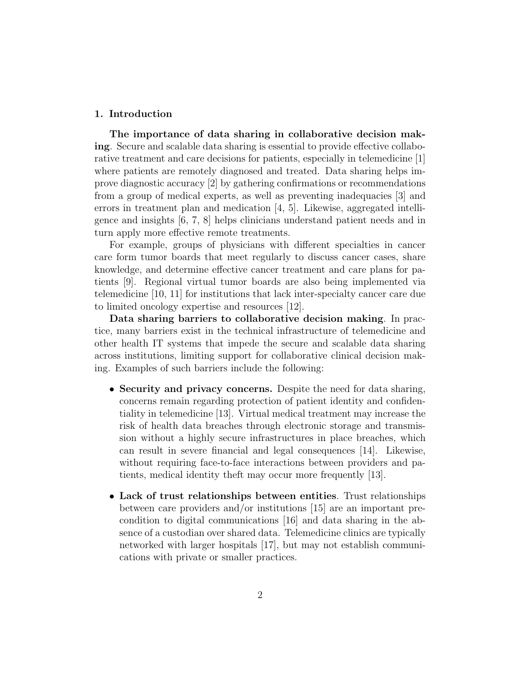### 1. Introduction

The importance of data sharing in collaborative decision making. Secure and scalable data sharing is essential to provide effective collaborative treatment and care decisions for patients, especially in telemedicine [1] where patients are remotely diagnosed and treated. Data sharing helps improve diagnostic accuracy [2] by gathering confirmations or recommendations from a group of medical experts, as well as preventing inadequacies [3] and errors in treatment plan and medication [4, 5]. Likewise, aggregated intelligence and insights [6, 7, 8] helps clinicians understand patient needs and in turn apply more effective remote treatments.

For example, groups of physicians with different specialties in cancer care form tumor boards that meet regularly to discuss cancer cases, share knowledge, and determine effective cancer treatment and care plans for patients [9]. Regional virtual tumor boards are also being implemented via telemedicine [10, 11] for institutions that lack inter-specialty cancer care due to limited oncology expertise and resources [12].

Data sharing barriers to collaborative decision making. In practice, many barriers exist in the technical infrastructure of telemedicine and other health IT systems that impede the secure and scalable data sharing across institutions, limiting support for collaborative clinical decision making. Examples of such barriers include the following:

- Security and privacy concerns. Despite the need for data sharing, concerns remain regarding protection of patient identity and confidentiality in telemedicine [13]. Virtual medical treatment may increase the risk of health data breaches through electronic storage and transmission without a highly secure infrastructures in place breaches, which can result in severe financial and legal consequences [14]. Likewise, without requiring face-to-face interactions between providers and patients, medical identity theft may occur more frequently [13].
- Lack of trust relationships between entities. Trust relationships between care providers and/or institutions [15] are an important precondition to digital communications [16] and data sharing in the absence of a custodian over shared data. Telemedicine clinics are typically networked with larger hospitals [17], but may not establish communications with private or smaller practices.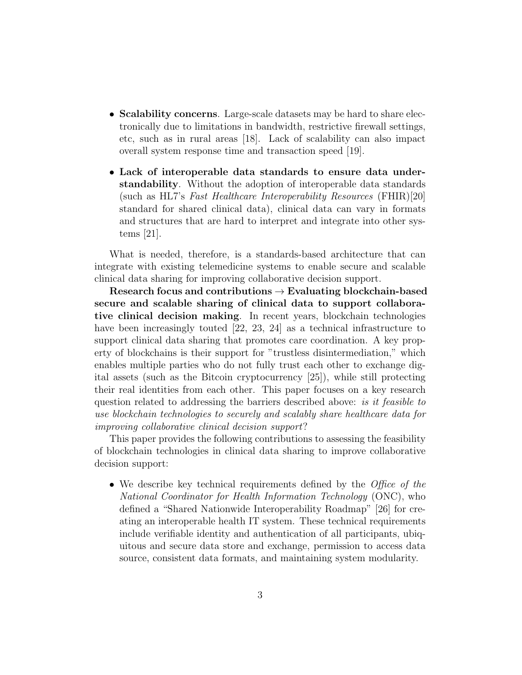- Scalability concerns. Large-scale datasets may be hard to share electronically due to limitations in bandwidth, restrictive firewall settings, etc, such as in rural areas [18]. Lack of scalability can also impact overall system response time and transaction speed [19].
- Lack of interoperable data standards to ensure data understandability. Without the adoption of interoperable data standards (such as HL7's Fast Healthcare Interoperability Resources (FHIR)[20] standard for shared clinical data), clinical data can vary in formats and structures that are hard to interpret and integrate into other systems [21].

What is needed, therefore, is a standards-based architecture that can integrate with existing telemedicine systems to enable secure and scalable clinical data sharing for improving collaborative decision support.

Research focus and contributions  $\rightarrow$  Evaluating blockchain-based secure and scalable sharing of clinical data to support collaborative clinical decision making. In recent years, blockchain technologies have been increasingly touted [22, 23, 24] as a technical infrastructure to support clinical data sharing that promotes care coordination. A key property of blockchains is their support for "trustless disintermediation," which enables multiple parties who do not fully trust each other to exchange digital assets (such as the Bitcoin cryptocurrency [25]), while still protecting their real identities from each other. This paper focuses on a key research question related to addressing the barriers described above: is it feasible to use blockchain technologies to securely and scalably share healthcare data for improving collaborative clinical decision support?

This paper provides the following contributions to assessing the feasibility of blockchain technologies in clinical data sharing to improve collaborative decision support:

• We describe key technical requirements defined by the *Office of the* National Coordinator for Health Information Technology (ONC), who defined a "Shared Nationwide Interoperability Roadmap" [26] for creating an interoperable health IT system. These technical requirements include verifiable identity and authentication of all participants, ubiquitous and secure data store and exchange, permission to access data source, consistent data formats, and maintaining system modularity.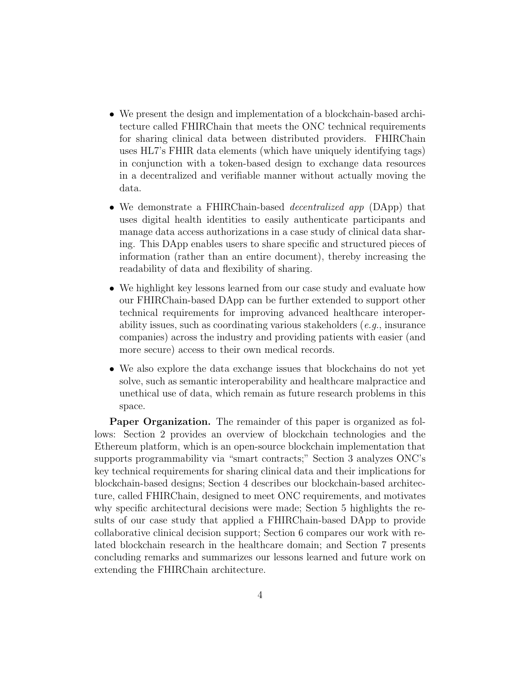- We present the design and implementation of a blockchain-based architecture called FHIRChain that meets the ONC technical requirements for sharing clinical data between distributed providers. FHIRChain uses HL7's FHIR data elements (which have uniquely identifying tags) in conjunction with a token-based design to exchange data resources in a decentralized and verifiable manner without actually moving the data.
- We demonstrate a FHIRChain-based *decentralized app* (DApp) that uses digital health identities to easily authenticate participants and manage data access authorizations in a case study of clinical data sharing. This DApp enables users to share specific and structured pieces of information (rather than an entire document), thereby increasing the readability of data and flexibility of sharing.
- We highlight key lessons learned from our case study and evaluate how our FHIRChain-based DApp can be further extended to support other technical requirements for improving advanced healthcare interoperability issues, such as coordinating various stakeholders (e.g., insurance companies) across the industry and providing patients with easier (and more secure) access to their own medical records.
- We also explore the data exchange issues that blockchains do not yet solve, such as semantic interoperability and healthcare malpractice and unethical use of data, which remain as future research problems in this space.

Paper Organization. The remainder of this paper is organized as follows: Section 2 provides an overview of blockchain technologies and the Ethereum platform, which is an open-source blockchain implementation that supports programmability via "smart contracts;" Section 3 analyzes ONC's key technical requirements for sharing clinical data and their implications for blockchain-based designs; Section 4 describes our blockchain-based architecture, called FHIRChain, designed to meet ONC requirements, and motivates why specific architectural decisions were made; Section 5 highlights the results of our case study that applied a FHIRChain-based DApp to provide collaborative clinical decision support; Section 6 compares our work with related blockchain research in the healthcare domain; and Section 7 presents concluding remarks and summarizes our lessons learned and future work on extending the FHIRChain architecture.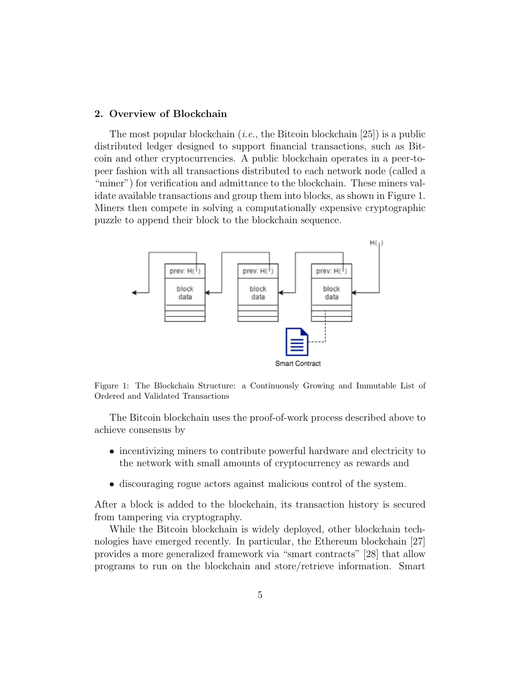# 2. Overview of Blockchain

The most popular blockchain (*i.e.*, the Bitcoin blockchain [25]) is a public distributed ledger designed to support financial transactions, such as Bitcoin and other cryptocurrencies. A public blockchain operates in a peer-topeer fashion with all transactions distributed to each network node (called a "miner") for verification and admittance to the blockchain. These miners validate available transactions and group them into blocks, as shown in Figure 1. Miners then compete in solving a computationally expensive cryptographic puzzle to append their block to the blockchain sequence.



Figure 1: The Blockchain Structure: a Continuously Growing and Immutable List of Ordered and Validated Transactions

The Bitcoin blockchain uses the proof-of-work process described above to achieve consensus by

- incentivizing miners to contribute powerful hardware and electricity to the network with small amounts of cryptocurrency as rewards and
- discouraging rogue actors against malicious control of the system.

After a block is added to the blockchain, its transaction history is secured from tampering via cryptography.

While the Bitcoin blockchain is widely deployed, other blockchain technologies have emerged recently. In particular, the Ethereum blockchain [27] provides a more generalized framework via "smart contracts" [28] that allow programs to run on the blockchain and store/retrieve information. Smart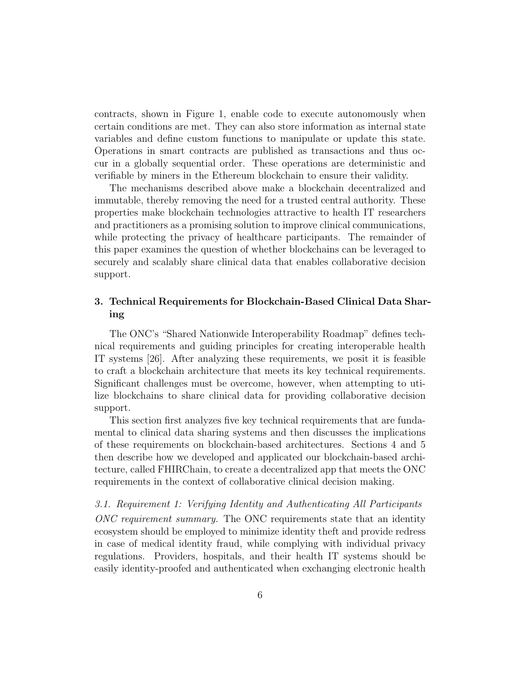contracts, shown in Figure 1, enable code to execute autonomously when certain conditions are met. They can also store information as internal state variables and define custom functions to manipulate or update this state. Operations in smart contracts are published as transactions and thus occur in a globally sequential order. These operations are deterministic and verifiable by miners in the Ethereum blockchain to ensure their validity.

The mechanisms described above make a blockchain decentralized and immutable, thereby removing the need for a trusted central authority. These properties make blockchain technologies attractive to health IT researchers and practitioners as a promising solution to improve clinical communications, while protecting the privacy of healthcare participants. The remainder of this paper examines the question of whether blockchains can be leveraged to securely and scalably share clinical data that enables collaborative decision support.

# 3. Technical Requirements for Blockchain-Based Clinical Data Sharing

The ONC's "Shared Nationwide Interoperability Roadmap" defines technical requirements and guiding principles for creating interoperable health IT systems [26]. After analyzing these requirements, we posit it is feasible to craft a blockchain architecture that meets its key technical requirements. Significant challenges must be overcome, however, when attempting to utilize blockchains to share clinical data for providing collaborative decision support.

This section first analyzes five key technical requirements that are fundamental to clinical data sharing systems and then discusses the implications of these requirements on blockchain-based architectures. Sections 4 and 5 then describe how we developed and applicated our blockchain-based architecture, called FHIRChain, to create a decentralized app that meets the ONC requirements in the context of collaborative clinical decision making.

3.1. Requirement 1: Verifying Identity and Authenticating All Participants ONC requirement summary. The ONC requirements state that an identity ecosystem should be employed to minimize identity theft and provide redress in case of medical identity fraud, while complying with individual privacy regulations. Providers, hospitals, and their health IT systems should be easily identity-proofed and authenticated when exchanging electronic health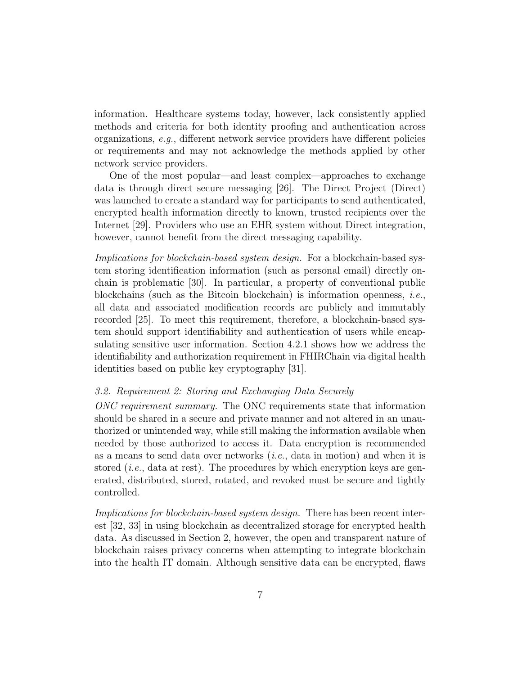information. Healthcare systems today, however, lack consistently applied methods and criteria for both identity proofing and authentication across organizations, e.g., different network service providers have different policies or requirements and may not acknowledge the methods applied by other network service providers.

One of the most popular—and least complex—approaches to exchange data is through direct secure messaging [26]. The Direct Project (Direct) was launched to create a standard way for participants to send authenticated, encrypted health information directly to known, trusted recipients over the Internet [29]. Providers who use an EHR system without Direct integration, however, cannot benefit from the direct messaging capability.

Implications for blockchain-based system design. For a blockchain-based system storing identification information (such as personal email) directly onchain is problematic [30]. In particular, a property of conventional public blockchains (such as the Bitcoin blockchain) is information openness, i.e., all data and associated modification records are publicly and immutably recorded [25]. To meet this requirement, therefore, a blockchain-based system should support identifiability and authentication of users while encapsulating sensitive user information. Section 4.2.1 shows how we address the identifiability and authorization requirement in FHIRChain via digital health identities based on public key cryptography [31].

# 3.2. Requirement 2: Storing and Exchanging Data Securely

ONC requirement summary. The ONC requirements state that information should be shared in a secure and private manner and not altered in an unauthorized or unintended way, while still making the information available when needed by those authorized to access it. Data encryption is recommended as a means to send data over networks  $(i.e., data in motion)$  and when it is stored  $(i.e., data at rest)$ . The procedures by which encryption keys are generated, distributed, stored, rotated, and revoked must be secure and tightly controlled.

Implications for blockchain-based system design. There has been recent interest [32, 33] in using blockchain as decentralized storage for encrypted health data. As discussed in Section 2, however, the open and transparent nature of blockchain raises privacy concerns when attempting to integrate blockchain into the health IT domain. Although sensitive data can be encrypted, flaws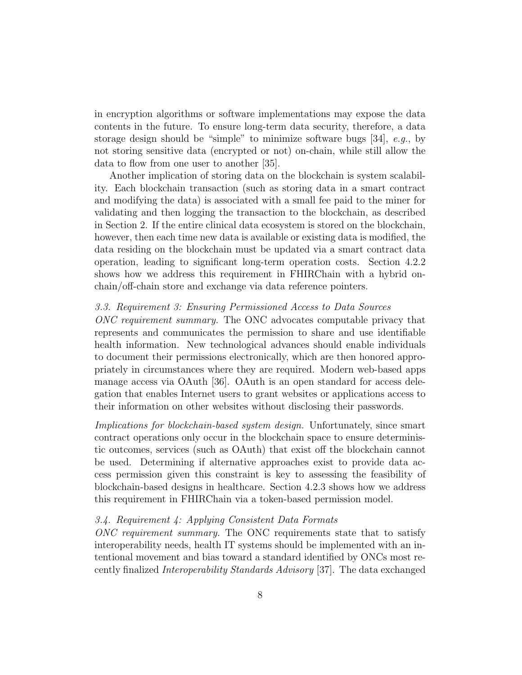in encryption algorithms or software implementations may expose the data contents in the future. To ensure long-term data security, therefore, a data storage design should be "simple" to minimize software bugs  $[34]$ , e.g., by not storing sensitive data (encrypted or not) on-chain, while still allow the data to flow from one user to another [35].

Another implication of storing data on the blockchain is system scalability. Each blockchain transaction (such as storing data in a smart contract and modifying the data) is associated with a small fee paid to the miner for validating and then logging the transaction to the blockchain, as described in Section 2. If the entire clinical data ecosystem is stored on the blockchain, however, then each time new data is available or existing data is modified, the data residing on the blockchain must be updated via a smart contract data operation, leading to significant long-term operation costs. Section 4.2.2 shows how we address this requirement in FHIRChain with a hybrid onchain/off-chain store and exchange via data reference pointers.

#### 3.3. Requirement 3: Ensuring Permissioned Access to Data Sources

ONC requirement summary. The ONC advocates computable privacy that represents and communicates the permission to share and use identifiable health information. New technological advances should enable individuals to document their permissions electronically, which are then honored appropriately in circumstances where they are required. Modern web-based apps manage access via OAuth [36]. OAuth is an open standard for access delegation that enables Internet users to grant websites or applications access to their information on other websites without disclosing their passwords.

Implications for blockchain-based system design. Unfortunately, since smart contract operations only occur in the blockchain space to ensure deterministic outcomes, services (such as OAuth) that exist off the blockchain cannot be used. Determining if alternative approaches exist to provide data access permission given this constraint is key to assessing the feasibility of blockchain-based designs in healthcare. Section 4.2.3 shows how we address this requirement in FHIRChain via a token-based permission model.

### 3.4. Requirement 4: Applying Consistent Data Formats

ONC requirement summary. The ONC requirements state that to satisfy interoperability needs, health IT systems should be implemented with an intentional movement and bias toward a standard identified by ONCs most recently finalized Interoperability Standards Advisory [37]. The data exchanged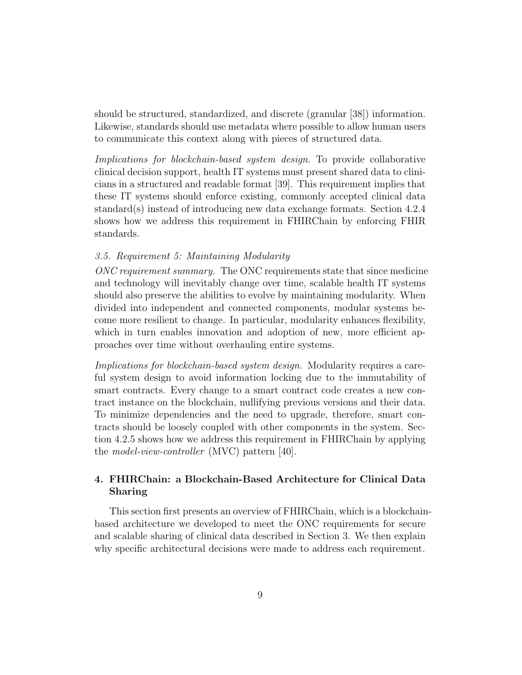should be structured, standardized, and discrete (granular [38]) information. Likewise, standards should use metadata where possible to allow human users to communicate this context along with pieces of structured data.

Implications for blockchain-based system design. To provide collaborative clinical decision support, health IT systems must present shared data to clinicians in a structured and readable format [39]. This requirement implies that these IT systems should enforce existing, commonly accepted clinical data standard(s) instead of introducing new data exchange formats. Section 4.2.4 shows how we address this requirement in FHIRChain by enforcing FHIR standards.

### 3.5. Requirement 5: Maintaining Modularity

ONC requirement summary. The ONC requirements state that since medicine and technology will inevitably change over time, scalable health IT systems should also preserve the abilities to evolve by maintaining modularity. When divided into independent and connected components, modular systems become more resilient to change. In particular, modularity enhances flexibility, which in turn enables innovation and adoption of new, more efficient approaches over time without overhauling entire systems.

Implications for blockchain-based system design. Modularity requires a careful system design to avoid information locking due to the immutability of smart contracts. Every change to a smart contract code creates a new contract instance on the blockchain, nullifying previous versions and their data. To minimize dependencies and the need to upgrade, therefore, smart contracts should be loosely coupled with other components in the system. Section 4.2.5 shows how we address this requirement in FHIRChain by applying the model-view-controller (MVC) pattern [40].

# 4. FHIRChain: a Blockchain-Based Architecture for Clinical Data Sharing

This section first presents an overview of FHIRChain, which is a blockchainbased architecture we developed to meet the ONC requirements for secure and scalable sharing of clinical data described in Section 3. We then explain why specific architectural decisions were made to address each requirement.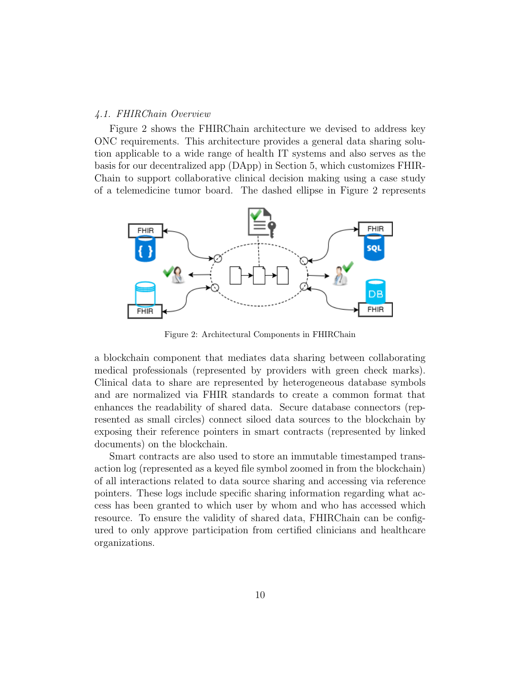### 4.1. FHIRChain Overview

Figure 2 shows the FHIRChain architecture we devised to address key ONC requirements. This architecture provides a general data sharing solution applicable to a wide range of health IT systems and also serves as the basis for our decentralized app (DApp) in Section 5, which customizes FHIR-Chain to support collaborative clinical decision making using a case study of a telemedicine tumor board. The dashed ellipse in Figure 2 represents



Figure 2: Architectural Components in FHIRChain

a blockchain component that mediates data sharing between collaborating medical professionals (represented by providers with green check marks). Clinical data to share are represented by heterogeneous database symbols and are normalized via FHIR standards to create a common format that enhances the readability of shared data. Secure database connectors (represented as small circles) connect siloed data sources to the blockchain by exposing their reference pointers in smart contracts (represented by linked documents) on the blockchain.

Smart contracts are also used to store an immutable timestamped transaction log (represented as a keyed file symbol zoomed in from the blockchain) of all interactions related to data source sharing and accessing via reference pointers. These logs include specific sharing information regarding what access has been granted to which user by whom and who has accessed which resource. To ensure the validity of shared data, FHIRChain can be configured to only approve participation from certified clinicians and healthcare organizations.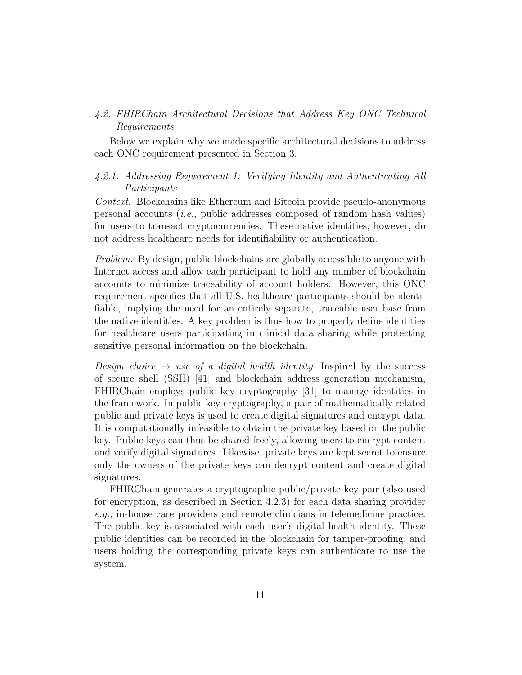# 4.2. FHIRChain Architectural Decisions that Address Key ONC Technical Requirements

Below we explain why we made specific architectural decisions to address each ONC requirement presented in Section 3.

# 4.2.1. Addressing Requirement 1: Verifying Identity and Authenticating All Participants

Context. Blockchains like Ethereum and Bitcoin provide pseudo-anonymous personal accounts  $(i.e., public addresses composed of random hash values)$ for users to transact cryptocurrencies. These native identities, however, do not address healthcare needs for identifiability or authentication.

Problem. By design, public blockchains are globally accessible to anyone with Internet access and allow each participant to hold any number of blockchain accounts to minimize traceability of account holders. However, this ONC requirement specifies that all U.S. healthcare participants should be identifiable, implying the need for an entirely separate, traceable user base from the native identities. A key problem is thus how to properly define identities for healthcare users participating in clinical data sharing while protecting sensitive personal information on the blockchain.

Design choice  $\rightarrow$  use of a digital health identity. Inspired by the success of secure shell (SSH) [41] and blockchain address generation mechanism, FHIRChain employs public key cryptography [31] to manage identities in the framework. In public key cryptography, a pair of mathematically related public and private keys is used to create digital signatures and encrypt data. It is computationally infeasible to obtain the private key based on the public key. Public keys can thus be shared freely, allowing users to encrypt content and verify digital signatures. Likewise, private keys are kept secret to ensure only the owners of the private keys can decrypt content and create digital signatures.

FHIRChain generates a cryptographic public/private key pair (also used for encryption, as described in Section 4.2.3) for each data sharing provider e.g., in-house care providers and remote clinicians in telemedicine practice. The public key is associated with each user's digital health identity. These public identities can be recorded in the blockchain for tamper-proofing, and users holding the corresponding private keys can authenticate to use the system.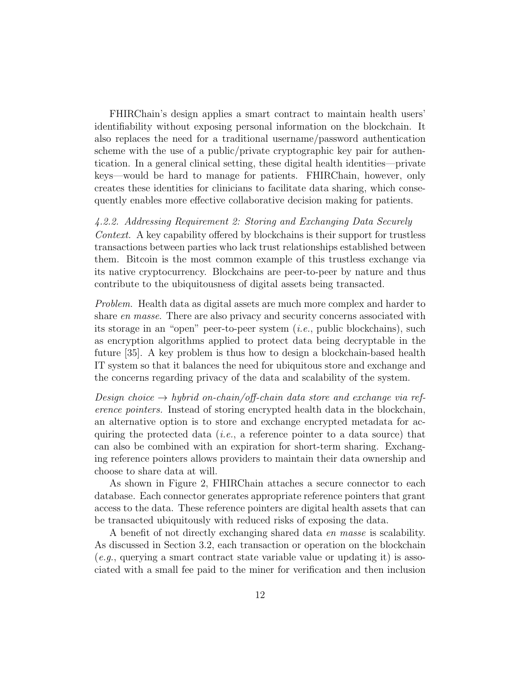FHIRChain's design applies a smart contract to maintain health users' identifiability without exposing personal information on the blockchain. It also replaces the need for a traditional username/password authentication scheme with the use of a public/private cryptographic key pair for authentication. In a general clinical setting, these digital health identities—private keys—would be hard to manage for patients. FHIRChain, however, only creates these identities for clinicians to facilitate data sharing, which consequently enables more effective collaborative decision making for patients.

# 4.2.2. Addressing Requirement 2: Storing and Exchanging Data Securely

Context. A key capability offered by blockchains is their support for trustless transactions between parties who lack trust relationships established between them. Bitcoin is the most common example of this trustless exchange via its native cryptocurrency. Blockchains are peer-to-peer by nature and thus contribute to the ubiquitousness of digital assets being transacted.

Problem. Health data as digital assets are much more complex and harder to share en masse. There are also privacy and security concerns associated with its storage in an "open" peer-to-peer system  $(i.e., public block chains), such$ as encryption algorithms applied to protect data being decryptable in the future [35]. A key problem is thus how to design a blockchain-based health IT system so that it balances the need for ubiquitous store and exchange and the concerns regarding privacy of the data and scalability of the system.

Design choice  $\rightarrow$  hybrid on-chain/off-chain data store and exchange via reference pointers. Instead of storing encrypted health data in the blockchain, an alternative option is to store and exchange encrypted metadata for acquiring the protected data (*i.e.*, a reference pointer to a data source) that can also be combined with an expiration for short-term sharing. Exchanging reference pointers allows providers to maintain their data ownership and choose to share data at will.

As shown in Figure 2, FHIRChain attaches a secure connector to each database. Each connector generates appropriate reference pointers that grant access to the data. These reference pointers are digital health assets that can be transacted ubiquitously with reduced risks of exposing the data.

A benefit of not directly exchanging shared data en masse is scalability. As discussed in Section 3.2, each transaction or operation on the blockchain  $(e.g.,$  querying a smart contract state variable value or updating it) is associated with a small fee paid to the miner for verification and then inclusion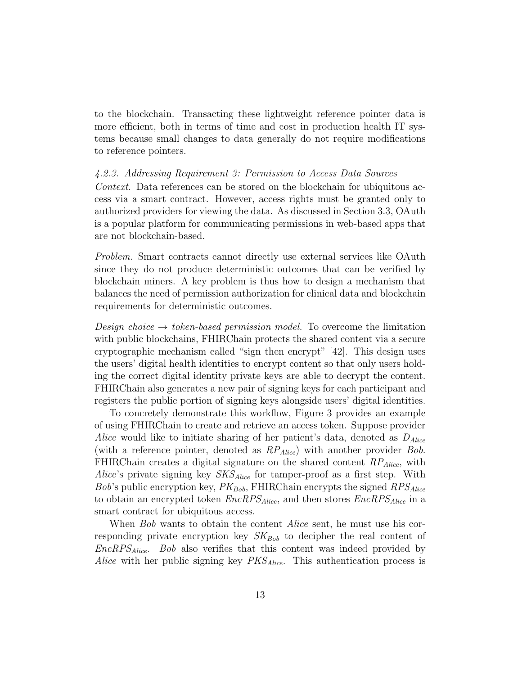to the blockchain. Transacting these lightweight reference pointer data is more efficient, both in terms of time and cost in production health IT systems because small changes to data generally do not require modifications to reference pointers.

#### 4.2.3. Addressing Requirement 3: Permission to Access Data Sources

Context. Data references can be stored on the blockchain for ubiquitous access via a smart contract. However, access rights must be granted only to authorized providers for viewing the data. As discussed in Section 3.3, OAuth is a popular platform for communicating permissions in web-based apps that are not blockchain-based.

Problem. Smart contracts cannot directly use external services like OAuth since they do not produce deterministic outcomes that can be verified by blockchain miners. A key problem is thus how to design a mechanism that balances the need of permission authorization for clinical data and blockchain requirements for deterministic outcomes.

Design choice  $\rightarrow$  token-based permission model. To overcome the limitation with public blockchains, FHIRChain protects the shared content via a secure cryptographic mechanism called "sign then encrypt" [42]. This design uses the users' digital health identities to encrypt content so that only users holding the correct digital identity private keys are able to decrypt the content. FHIRChain also generates a new pair of signing keys for each participant and registers the public portion of signing keys alongside users' digital identities.

To concretely demonstrate this workflow, Figure 3 provides an example of using FHIRChain to create and retrieve an access token. Suppose provider Alice would like to initiate sharing of her patient's data, denoted as  $D_{Alice}$ (with a reference pointer, denoted as  $RP_{Alice}$ ) with another provider Bob. FHIRChain creates a digital signature on the shared content  $RP_{Alice}$ , with *Alice's* private signing key  $SKS_{Alice}$  for tamper-proof as a first step. With Bob's public encryption key,  $PK_{Bob}$ , FHIRChain encrypts the signed  $RPS_{Alice}$ to obtain an encrypted token  $EncRPS_{Alice}$ , and then stores  $EncRPS_{Alice}$  in a smart contract for ubiquitous access.

When Bob wants to obtain the content *Alice* sent, he must use his corresponding private encryption key  $SK_{Bob}$  to decipher the real content of  $EncRPS_{Alice}$ . Bob also verifies that this content was indeed provided by Alice with her public signing key  $PKS_{Alice}$ . This authentication process is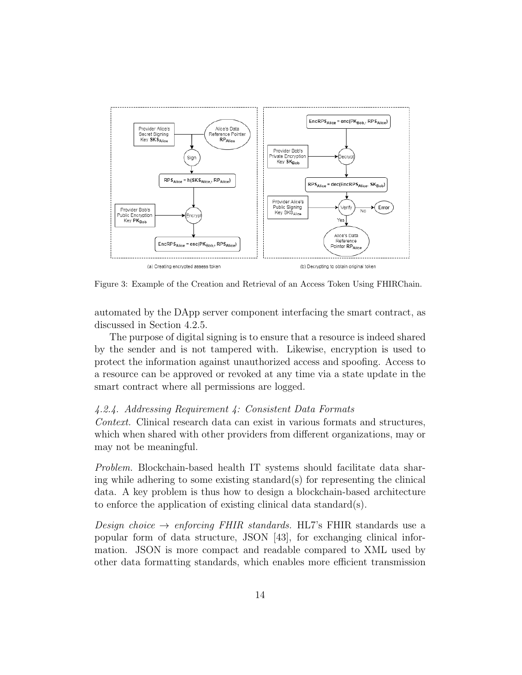

Figure 3: Example of the Creation and Retrieval of an Access Token Using FHIRChain.

automated by the DApp server component interfacing the smart contract, as discussed in Section 4.2.5.

The purpose of digital signing is to ensure that a resource is indeed shared by the sender and is not tampered with. Likewise, encryption is used to protect the information against unauthorized access and spoofing. Access to a resource can be approved or revoked at any time via a state update in the smart contract where all permissions are logged.

#### 4.2.4. Addressing Requirement 4: Consistent Data Formats

Context. Clinical research data can exist in various formats and structures, which when shared with other providers from different organizations, may or may not be meaningful.

Problem. Blockchain-based health IT systems should facilitate data sharing while adhering to some existing standard(s) for representing the clinical data. A key problem is thus how to design a blockchain-based architecture to enforce the application of existing clinical data standard(s).

Design choice  $\rightarrow$  enforcing FHIR standards. HL7's FHIR standards use a popular form of data structure, JSON [43], for exchanging clinical information. JSON is more compact and readable compared to XML used by other data formatting standards, which enables more efficient transmission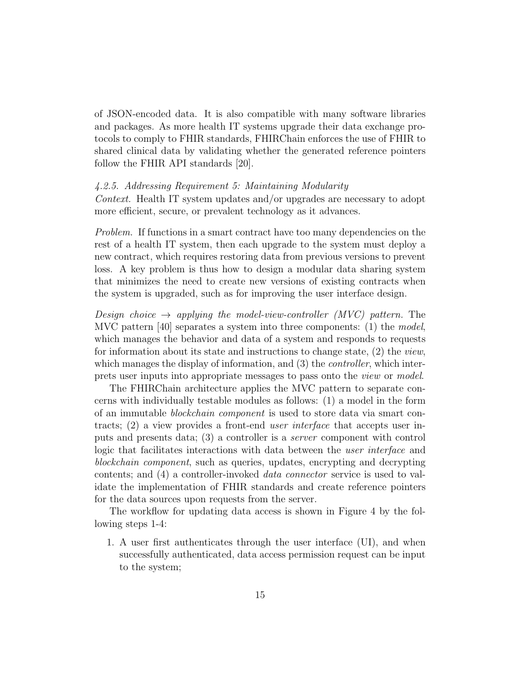of JSON-encoded data. It is also compatible with many software libraries and packages. As more health IT systems upgrade their data exchange protocols to comply to FHIR standards, FHIRChain enforces the use of FHIR to shared clinical data by validating whether the generated reference pointers follow the FHIR API standards [20].

#### 4.2.5. Addressing Requirement 5: Maintaining Modularity

Context. Health IT system updates and/or upgrades are necessary to adopt more efficient, secure, or prevalent technology as it advances.

Problem. If functions in a smart contract have too many dependencies on the rest of a health IT system, then each upgrade to the system must deploy a new contract, which requires restoring data from previous versions to prevent loss. A key problem is thus how to design a modular data sharing system that minimizes the need to create new versions of existing contracts when the system is upgraded, such as for improving the user interface design.

Design choice  $\rightarrow$  applying the model-view-controller (MVC) pattern. The MVC pattern [40] separates a system into three components: (1) the model, which manages the behavior and data of a system and responds to requests for information about its state and instructions to change state,  $(2)$  the *view*, which manages the display of information, and (3) the *controller*, which interprets user inputs into appropriate messages to pass onto the view or model.

The FHIRChain architecture applies the MVC pattern to separate concerns with individually testable modules as follows: (1) a model in the form of an immutable blockchain component is used to store data via smart contracts; (2) a view provides a front-end user interface that accepts user inputs and presents data; (3) a controller is a server component with control logic that facilitates interactions with data between the user interface and blockchain component, such as queries, updates, encrypting and decrypting contents; and (4) a controller-invoked data connector service is used to validate the implementation of FHIR standards and create reference pointers for the data sources upon requests from the server.

The workflow for updating data access is shown in Figure 4 by the following steps 1-4:

1. A user first authenticates through the user interface (UI), and when successfully authenticated, data access permission request can be input to the system;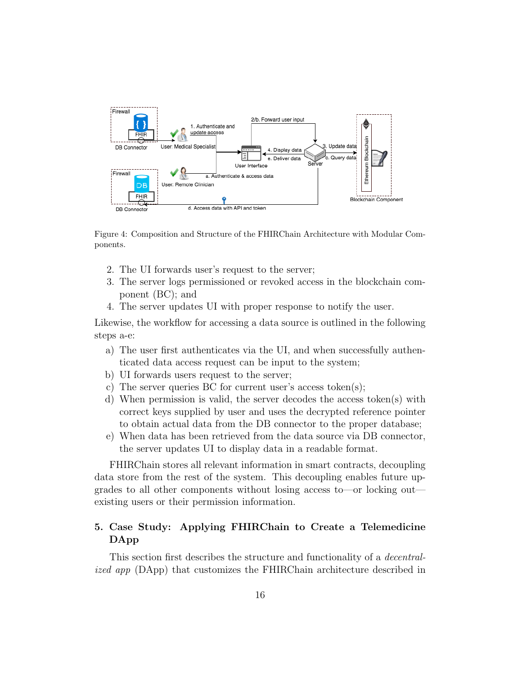

Figure 4: Composition and Structure of the FHIRChain Architecture with Modular Components.

- 2. The UI forwards user's request to the server;
- 3. The server logs permissioned or revoked access in the blockchain component (BC); and
- 4. The server updates UI with proper response to notify the user.

Likewise, the workflow for accessing a data source is outlined in the following steps a-e:

- a) The user first authenticates via the UI, and when successfully authenticated data access request can be input to the system;
- b) UI forwards users request to the server;
- c) The server queries BC for current user's access token(s);
- d) When permission is valid, the server decodes the access token(s) with correct keys supplied by user and uses the decrypted reference pointer to obtain actual data from the DB connector to the proper database;
- e) When data has been retrieved from the data source via DB connector, the server updates UI to display data in a readable format.

FHIRChain stores all relevant information in smart contracts, decoupling data store from the rest of the system. This decoupling enables future upgrades to all other components without losing access to—or locking out existing users or their permission information.

# 5. Case Study: Applying FHIRChain to Create a Telemedicine DApp

This section first describes the structure and functionality of a decentralized app (DApp) that customizes the FHIRChain architecture described in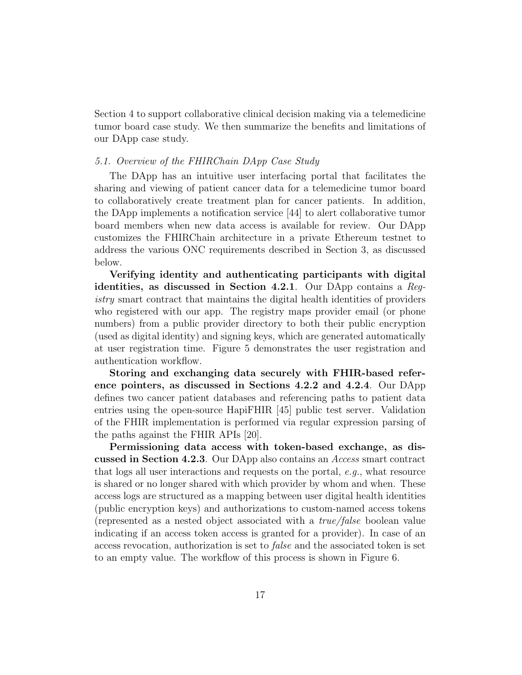Section 4 to support collaborative clinical decision making via a telemedicine tumor board case study. We then summarize the benefits and limitations of our DApp case study.

### 5.1. Overview of the FHIRChain DApp Case Study

The DApp has an intuitive user interfacing portal that facilitates the sharing and viewing of patient cancer data for a telemedicine tumor board to collaboratively create treatment plan for cancer patients. In addition, the DApp implements a notification service [44] to alert collaborative tumor board members when new data access is available for review. Our DApp customizes the FHIRChain architecture in a private Ethereum testnet to address the various ONC requirements described in Section 3, as discussed below.

Verifying identity and authenticating participants with digital identities, as discussed in Section 4.2.1. Our DApp contains a Registry smart contract that maintains the digital health identities of providers who registered with our app. The registry maps provider email (or phone numbers) from a public provider directory to both their public encryption (used as digital identity) and signing keys, which are generated automatically at user registration time. Figure 5 demonstrates the user registration and authentication workflow.

Storing and exchanging data securely with FHIR-based reference pointers, as discussed in Sections 4.2.2 and 4.2.4. Our DApp defines two cancer patient databases and referencing paths to patient data entries using the open-source HapiFHIR [45] public test server. Validation of the FHIR implementation is performed via regular expression parsing of the paths against the FHIR APIs [20].

Permissioning data access with token-based exchange, as discussed in Section 4.2.3. Our DApp also contains an Access smart contract that logs all user interactions and requests on the portal, e.g., what resource is shared or no longer shared with which provider by whom and when. These access logs are structured as a mapping between user digital health identities (public encryption keys) and authorizations to custom-named access tokens (represented as a nested object associated with a true/false boolean value indicating if an access token access is granted for a provider). In case of an access revocation, authorization is set to false and the associated token is set to an empty value. The workflow of this process is shown in Figure 6.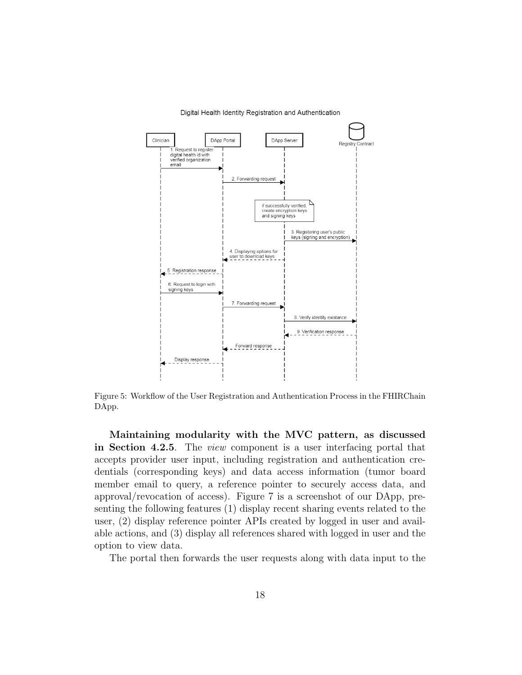

Digital Health Identity Registration and Authentication

Figure 5: Workflow of the User Registration and Authentication Process in the FHIRChain DApp.

Maintaining modularity with the MVC pattern, as discussed in Section 4.2.5. The view component is a user interfacing portal that accepts provider user input, including registration and authentication credentials (corresponding keys) and data access information (tumor board member email to query, a reference pointer to securely access data, and approval/revocation of access). Figure 7 is a screenshot of our DApp, presenting the following features (1) display recent sharing events related to the user, (2) display reference pointer APIs created by logged in user and available actions, and (3) display all references shared with logged in user and the option to view data.

The portal then forwards the user requests along with data input to the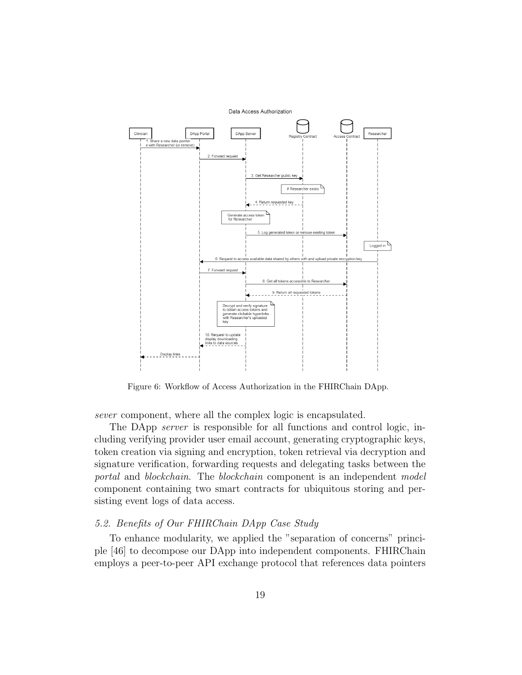

Figure 6: Workflow of Access Authorization in the FHIRChain DApp.

sever component, where all the complex logic is encapsulated.

The DApp *server* is responsible for all functions and control logic, including verifying provider user email account, generating cryptographic keys, token creation via signing and encryption, token retrieval via decryption and signature verification, forwarding requests and delegating tasks between the portal and blockchain. The blockchain component is an independent model component containing two smart contracts for ubiquitous storing and persisting event logs of data access.

#### 5.2. Benefits of Our FHIRChain DApp Case Study

To enhance modularity, we applied the "separation of concerns" principle [46] to decompose our DApp into independent components. FHIRChain employs a peer-to-peer API exchange protocol that references data pointers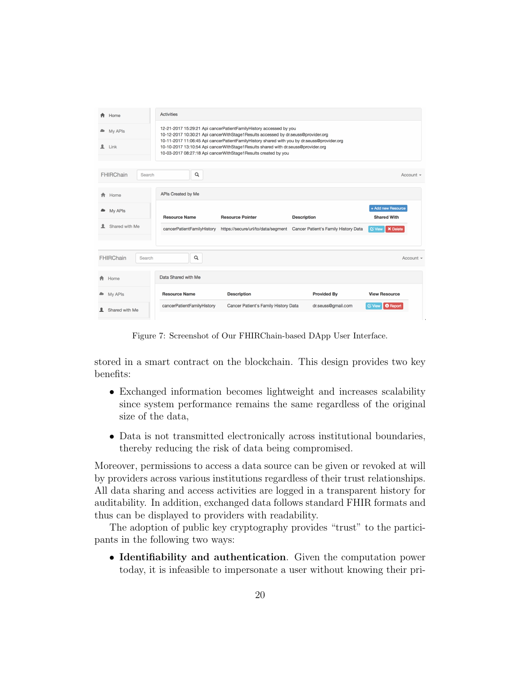| A Home                     | <b>Activities</b>                                                                                                                                                                                                                                                                                                                                                                                             |                                    |                                      |                                          |
|----------------------------|---------------------------------------------------------------------------------------------------------------------------------------------------------------------------------------------------------------------------------------------------------------------------------------------------------------------------------------------------------------------------------------------------------------|------------------------------------|--------------------------------------|------------------------------------------|
| My APIs<br>-<br>2<br>Link  | 12-21-2017 15:29:21 Api cancerPatientFamilyHistory accessed by you<br>10-12-2017 10:30:21 Api cancerWithStage1Results accessed by dr.seuss@provider.org<br>10-11-2017 11:06:45 Api cancerPatientFamilyHistory shared with you by dr.seuss@provider.org<br>10-10-2017 13:10:54 Api cancerWithStage1Results shared with dr.seuss@provider.org<br>10-03-2017 08:27:18 Api cancerWithStage1Results created by you |                                    |                                      |                                          |
| <b>FHIRChain</b><br>Search | Q                                                                                                                                                                                                                                                                                                                                                                                                             |                                    |                                      | Account $\sim$                           |
| <del>n</del> Home          | APIs Created by Me                                                                                                                                                                                                                                                                                                                                                                                            |                                    |                                      |                                          |
| <b>My APIs</b>             | <b>Resource Name</b>                                                                                                                                                                                                                                                                                                                                                                                          | <b>Resource Pointer</b>            | <b>Description</b>                   | + Add new Resource<br><b>Shared With</b> |
| Shared with Me             |                                                                                                                                                                                                                                                                                                                                                                                                               |                                    |                                      |                                          |
|                            | cancerPatientFamilyHistory                                                                                                                                                                                                                                                                                                                                                                                    | https://secure/url/to/data/segment | Cancer Patient's Family History Data | <b>X</b> Delete<br><b>C</b> View         |
| FHIRChain<br>Search        | Q                                                                                                                                                                                                                                                                                                                                                                                                             |                                    |                                      | Account $\sim$                           |
| Home                       | Data Shared with Me                                                                                                                                                                                                                                                                                                                                                                                           |                                    |                                      |                                          |
| My APIs                    | <b>Resource Name</b>                                                                                                                                                                                                                                                                                                                                                                                          | <b>Description</b>                 | <b>Provided By</b>                   | <b>View Resource</b>                     |

Figure 7: Screenshot of Our FHIRChain-based DApp User Interface.

stored in a smart contract on the blockchain. This design provides two key benefits:

- Exchanged information becomes lightweight and increases scalability since system performance remains the same regardless of the original size of the data,
- Data is not transmitted electronically across institutional boundaries, thereby reducing the risk of data being compromised.

Moreover, permissions to access a data source can be given or revoked at will by providers across various institutions regardless of their trust relationships. All data sharing and access activities are logged in a transparent history for auditability. In addition, exchanged data follows standard FHIR formats and thus can be displayed to providers with readability.

The adoption of public key cryptography provides "trust" to the participants in the following two ways:

• Identifiability and authentication. Given the computation power today, it is infeasible to impersonate a user without knowing their pri-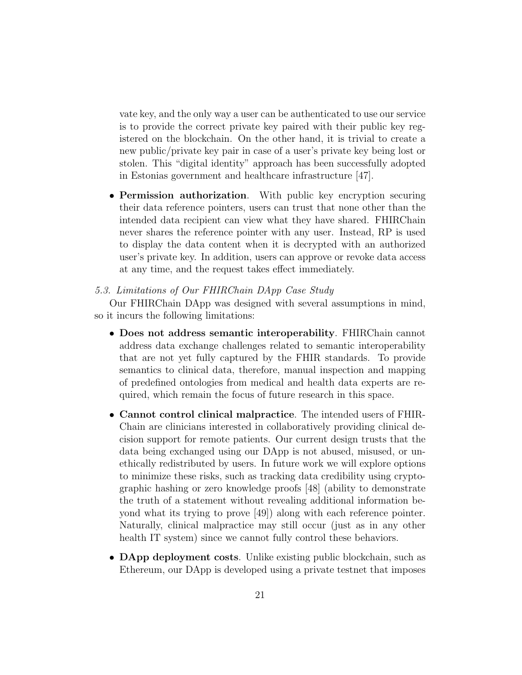vate key, and the only way a user can be authenticated to use our service is to provide the correct private key paired with their public key registered on the blockchain. On the other hand, it is trivial to create a new public/private key pair in case of a user's private key being lost or stolen. This "digital identity" approach has been successfully adopted in Estonias government and healthcare infrastructure [47].

• Permission authorization. With public key encryption securing their data reference pointers, users can trust that none other than the intended data recipient can view what they have shared. FHIRChain never shares the reference pointer with any user. Instead, RP is used to display the data content when it is decrypted with an authorized user's private key. In addition, users can approve or revoke data access at any time, and the request takes effect immediately.

### 5.3. Limitations of Our FHIRChain DApp Case Study

Our FHIRChain DApp was designed with several assumptions in mind, so it incurs the following limitations:

- Does not address semantic interoperability. FHIRChain cannot address data exchange challenges related to semantic interoperability that are not yet fully captured by the FHIR standards. To provide semantics to clinical data, therefore, manual inspection and mapping of predefined ontologies from medical and health data experts are required, which remain the focus of future research in this space.
- Cannot control clinical malpractice. The intended users of FHIR-Chain are clinicians interested in collaboratively providing clinical decision support for remote patients. Our current design trusts that the data being exchanged using our DApp is not abused, misused, or unethically redistributed by users. In future work we will explore options to minimize these risks, such as tracking data credibility using cryptographic hashing or zero knowledge proofs [48] (ability to demonstrate the truth of a statement without revealing additional information beyond what its trying to prove [49]) along with each reference pointer. Naturally, clinical malpractice may still occur (just as in any other health IT system) since we cannot fully control these behaviors.
- **DApp deployment costs**. Unlike existing public blockchain, such as Ethereum, our DApp is developed using a private testnet that imposes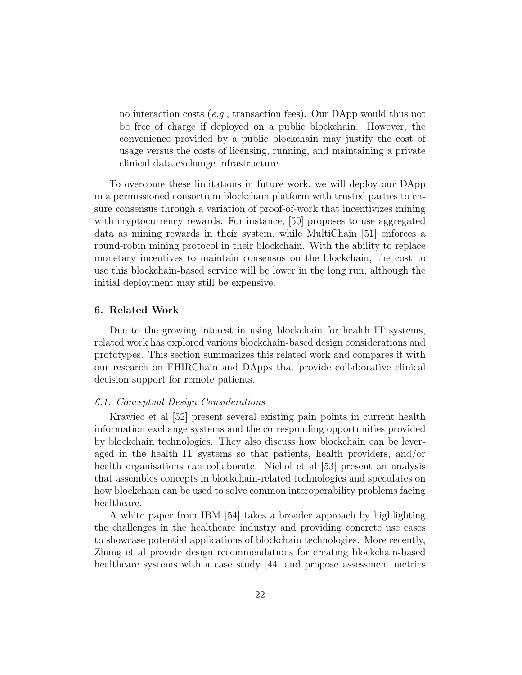no interaction costs (e.g., transaction fees). Our DApp would thus not be free of charge if deployed on a public blockchain. However, the convenience provided by a public blockchain may justify the cost of usage versus the costs of licensing, running, and maintaining a private clinical data exchange infrastructure.

To overcome these limitations in future work, we will deploy our DApp in a permissioned consortium blockchain platform with trusted parties to ensure consensus through a variation of proof-of-work that incentivizes mining with cryptocurrency rewards. For instance, [50] proposes to use aggregated data as mining rewards in their system, while MultiChain [51] enforces a round-robin mining protocol in their blockchain. With the ability to replace monetary incentives to maintain consensus on the blockchain, the cost to use this blockchain-based service will be lower in the long run, although the initial deployment may still be expensive.

#### 6. Related Work

Due to the growing interest in using blockchain for health IT systems, related work has explored various blockchain-based design considerations and prototypes. This section summarizes this related work and compares it with our research on FHIRChain and DApps that provide collaborative clinical decision support for remote patients.

#### 6.1. Conceptual Design Considerations

Krawiec et al [52] present several existing pain points in current health information exchange systems and the corresponding opportunities provided by blockchain technologies. They also discuss how blockchain can be leveraged in the health IT systems so that patients, health providers, and/or health organisations can collaborate. Nichol et al [53] present an analysis that assembles concepts in blockchain-related technologies and speculates on how blockchain can be used to solve common interoperability problems facing healthcare.

A white paper from IBM [54] takes a broader approach by highlighting the challenges in the healthcare industry and providing concrete use cases to showcase potential applications of blockchain technologies. More recently, Zhang et al provide design recommendations for creating blockchain-based healthcare systems with a case study [44] and propose assessment metrics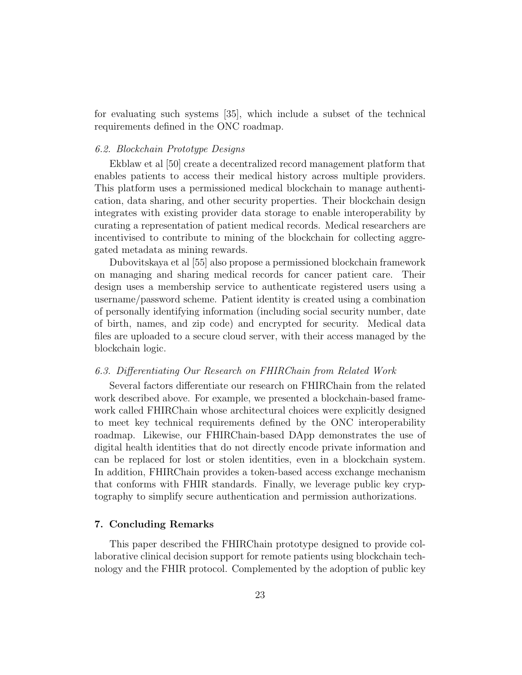for evaluating such systems [35], which include a subset of the technical requirements defined in the ONC roadmap.

### 6.2. Blockchain Prototype Designs

Ekblaw et al [50] create a decentralized record management platform that enables patients to access their medical history across multiple providers. This platform uses a permissioned medical blockchain to manage authentication, data sharing, and other security properties. Their blockchain design integrates with existing provider data storage to enable interoperability by curating a representation of patient medical records. Medical researchers are incentivised to contribute to mining of the blockchain for collecting aggregated metadata as mining rewards.

Dubovitskaya et al [55] also propose a permissioned blockchain framework on managing and sharing medical records for cancer patient care. Their design uses a membership service to authenticate registered users using a username/password scheme. Patient identity is created using a combination of personally identifying information (including social security number, date of birth, names, and zip code) and encrypted for security. Medical data files are uploaded to a secure cloud server, with their access managed by the blockchain logic.

#### 6.3. Differentiating Our Research on FHIRChain from Related Work

Several factors differentiate our research on FHIRChain from the related work described above. For example, we presented a blockchain-based framework called FHIRChain whose architectural choices were explicitly designed to meet key technical requirements defined by the ONC interoperability roadmap. Likewise, our FHIRChain-based DApp demonstrates the use of digital health identities that do not directly encode private information and can be replaced for lost or stolen identities, even in a blockchain system. In addition, FHIRChain provides a token-based access exchange mechanism that conforms with FHIR standards. Finally, we leverage public key cryptography to simplify secure authentication and permission authorizations.

#### 7. Concluding Remarks

This paper described the FHIRChain prototype designed to provide collaborative clinical decision support for remote patients using blockchain technology and the FHIR protocol. Complemented by the adoption of public key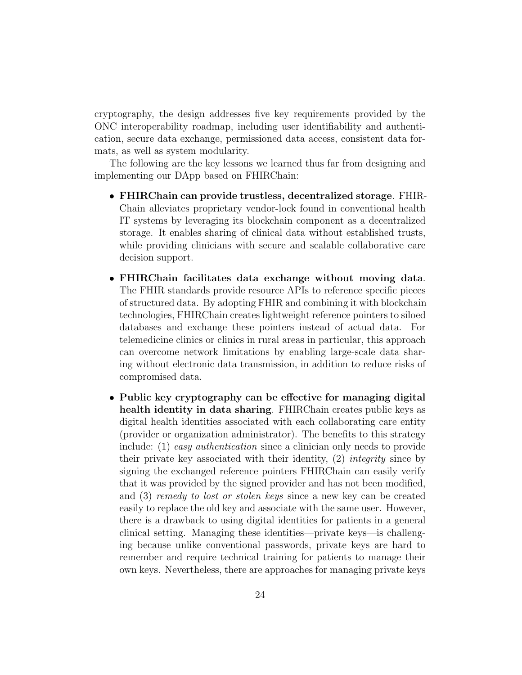cryptography, the design addresses five key requirements provided by the ONC interoperability roadmap, including user identifiability and authentication, secure data exchange, permissioned data access, consistent data formats, as well as system modularity.

The following are the key lessons we learned thus far from designing and implementing our DApp based on FHIRChain:

- FHIRChain can provide trustless, decentralized storage. FHIR-Chain alleviates proprietary vendor-lock found in conventional health IT systems by leveraging its blockchain component as a decentralized storage. It enables sharing of clinical data without established trusts, while providing clinicians with secure and scalable collaborative care decision support.
- FHIRChain facilitates data exchange without moving data. The FHIR standards provide resource APIs to reference specific pieces of structured data. By adopting FHIR and combining it with blockchain technologies, FHIRChain creates lightweight reference pointers to siloed databases and exchange these pointers instead of actual data. For telemedicine clinics or clinics in rural areas in particular, this approach can overcome network limitations by enabling large-scale data sharing without electronic data transmission, in addition to reduce risks of compromised data.
- Public key cryptography can be effective for managing digital health identity in data sharing. FHIRChain creates public keys as digital health identities associated with each collaborating care entity (provider or organization administrator). The benefits to this strategy include: (1) easy authentication since a clinician only needs to provide their private key associated with their identity, (2) integrity since by signing the exchanged reference pointers FHIRChain can easily verify that it was provided by the signed provider and has not been modified, and (3) remedy to lost or stolen keys since a new key can be created easily to replace the old key and associate with the same user. However, there is a drawback to using digital identities for patients in a general clinical setting. Managing these identities—private keys—is challenging because unlike conventional passwords, private keys are hard to remember and require technical training for patients to manage their own keys. Nevertheless, there are approaches for managing private keys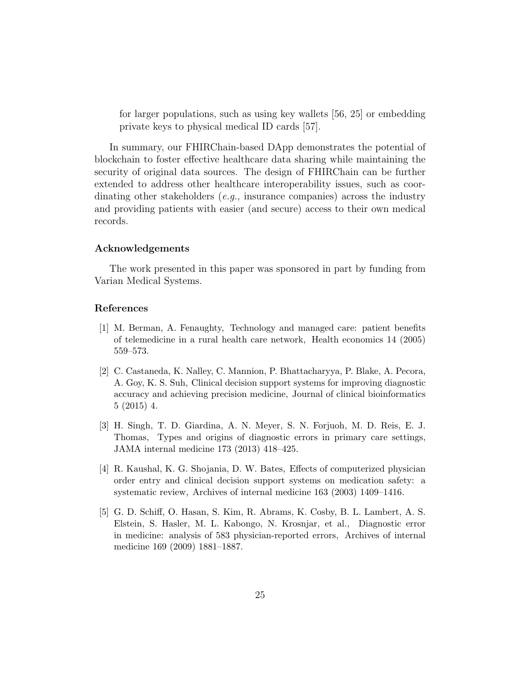for larger populations, such as using key wallets [56, 25] or embedding private keys to physical medical ID cards [57].

In summary, our FHIRChain-based DApp demonstrates the potential of blockchain to foster effective healthcare data sharing while maintaining the security of original data sources. The design of FHIRChain can be further extended to address other healthcare interoperability issues, such as coordinating other stakeholders (e.g., insurance companies) across the industry and providing patients with easier (and secure) access to their own medical records.

#### Acknowledgements

The work presented in this paper was sponsored in part by funding from Varian Medical Systems.

# References

- [1] M. Berman, A. Fenaughty, Technology and managed care: patient benefits of telemedicine in a rural health care network, Health economics 14 (2005) 559–573.
- [2] C. Castaneda, K. Nalley, C. Mannion, P. Bhattacharyya, P. Blake, A. Pecora, A. Goy, K. S. Suh, Clinical decision support systems for improving diagnostic accuracy and achieving precision medicine, Journal of clinical bioinformatics 5 (2015) 4.
- [3] H. Singh, T. D. Giardina, A. N. Meyer, S. N. Forjuoh, M. D. Reis, E. J. Thomas, Types and origins of diagnostic errors in primary care settings, JAMA internal medicine 173 (2013) 418–425.
- [4] R. Kaushal, K. G. Shojania, D. W. Bates, Effects of computerized physician order entry and clinical decision support systems on medication safety: a systematic review, Archives of internal medicine 163 (2003) 1409–1416.
- [5] G. D. Schiff, O. Hasan, S. Kim, R. Abrams, K. Cosby, B. L. Lambert, A. S. Elstein, S. Hasler, M. L. Kabongo, N. Krosnjar, et al., Diagnostic error in medicine: analysis of 583 physician-reported errors, Archives of internal medicine 169 (2009) 1881–1887.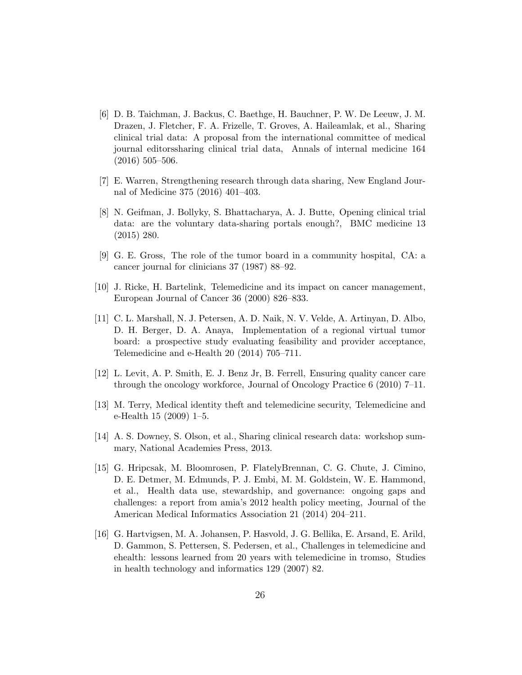- [6] D. B. Taichman, J. Backus, C. Baethge, H. Bauchner, P. W. De Leeuw, J. M. Drazen, J. Fletcher, F. A. Frizelle, T. Groves, A. Haileamlak, et al., Sharing clinical trial data: A proposal from the international committee of medical journal editorssharing clinical trial data, Annals of internal medicine 164 (2016) 505–506.
- [7] E. Warren, Strengthening research through data sharing, New England Journal of Medicine 375 (2016) 401–403.
- [8] N. Geifman, J. Bollyky, S. Bhattacharya, A. J. Butte, Opening clinical trial data: are the voluntary data-sharing portals enough?, BMC medicine 13 (2015) 280.
- [9] G. E. Gross, The role of the tumor board in a community hospital, CA: a cancer journal for clinicians 37 (1987) 88–92.
- [10] J. Ricke, H. Bartelink, Telemedicine and its impact on cancer management, European Journal of Cancer 36 (2000) 826–833.
- [11] C. L. Marshall, N. J. Petersen, A. D. Naik, N. V. Velde, A. Artinyan, D. Albo, D. H. Berger, D. A. Anaya, Implementation of a regional virtual tumor board: a prospective study evaluating feasibility and provider acceptance, Telemedicine and e-Health 20 (2014) 705–711.
- [12] L. Levit, A. P. Smith, E. J. Benz Jr, B. Ferrell, Ensuring quality cancer care through the oncology workforce, Journal of Oncology Practice 6 (2010) 7–11.
- [13] M. Terry, Medical identity theft and telemedicine security, Telemedicine and e-Health 15 (2009) 1–5.
- [14] A. S. Downey, S. Olson, et al., Sharing clinical research data: workshop summary, National Academies Press, 2013.
- [15] G. Hripcsak, M. Bloomrosen, P. FlatelyBrennan, C. G. Chute, J. Cimino, D. E. Detmer, M. Edmunds, P. J. Embi, M. M. Goldstein, W. E. Hammond, et al., Health data use, stewardship, and governance: ongoing gaps and challenges: a report from amia's 2012 health policy meeting, Journal of the American Medical Informatics Association 21 (2014) 204–211.
- [16] G. Hartvigsen, M. A. Johansen, P. Hasvold, J. G. Bellika, E. Arsand, E. Arild, D. Gammon, S. Pettersen, S. Pedersen, et al., Challenges in telemedicine and ehealth: lessons learned from 20 years with telemedicine in tromso, Studies in health technology and informatics 129 (2007) 82.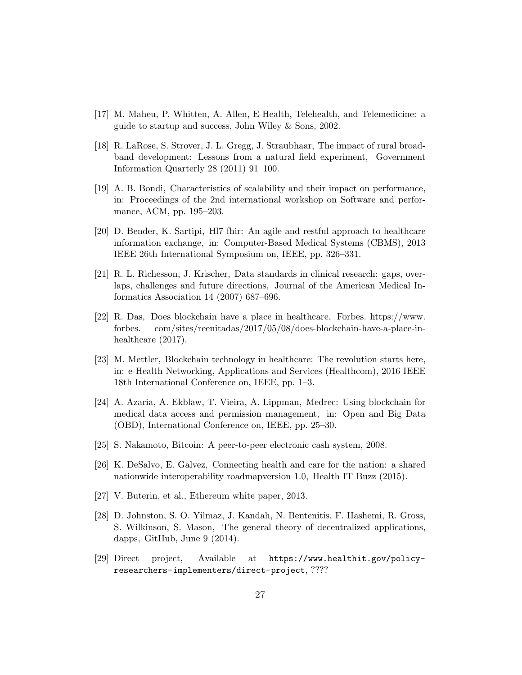- [17] M. Maheu, P. Whitten, A. Allen, E-Health, Telehealth, and Telemedicine: a guide to startup and success, John Wiley & Sons, 2002.
- [18] R. LaRose, S. Strover, J. L. Gregg, J. Straubhaar, The impact of rural broadband development: Lessons from a natural field experiment, Government Information Quarterly 28 (2011) 91–100.
- [19] A. B. Bondi, Characteristics of scalability and their impact on performance, in: Proceedings of the 2nd international workshop on Software and performance, ACM, pp. 195–203.
- [20] D. Bender, K. Sartipi, Hl7 fhir: An agile and restful approach to healthcare information exchange, in: Computer-Based Medical Systems (CBMS), 2013 IEEE 26th International Symposium on, IEEE, pp. 326–331.
- [21] R. L. Richesson, J. Krischer, Data standards in clinical research: gaps, overlaps, challenges and future directions, Journal of the American Medical Informatics Association 14 (2007) 687–696.
- [22] R. Das, Does blockchain have a place in healthcare, Forbes. https://www. forbes. com/sites/reenitadas/2017/05/08/does-blockchain-have-a-place-inhealthcare (2017).
- [23] M. Mettler, Blockchain technology in healthcare: The revolution starts here, in: e-Health Networking, Applications and Services (Healthcom), 2016 IEEE 18th International Conference on, IEEE, pp. 1–3.
- [24] A. Azaria, A. Ekblaw, T. Vieira, A. Lippman, Medrec: Using blockchain for medical data access and permission management, in: Open and Big Data (OBD), International Conference on, IEEE, pp. 25–30.
- [25] S. Nakamoto, Bitcoin: A peer-to-peer electronic cash system, 2008.
- [26] K. DeSalvo, E. Galvez, Connecting health and care for the nation: a shared nationwide interoperability roadmapversion 1.0, Health IT Buzz (2015).
- [27] V. Buterin, et al., Ethereum white paper, 2013.
- [28] D. Johnston, S. O. Yilmaz, J. Kandah, N. Bentenitis, F. Hashemi, R. Gross, S. Wilkinson, S. Mason, The general theory of decentralized applications, dapps, GitHub, June 9 (2014).
- [29] Direct project, Available at https://www.healthit.gov/policyresearchers-implementers/direct-project, ????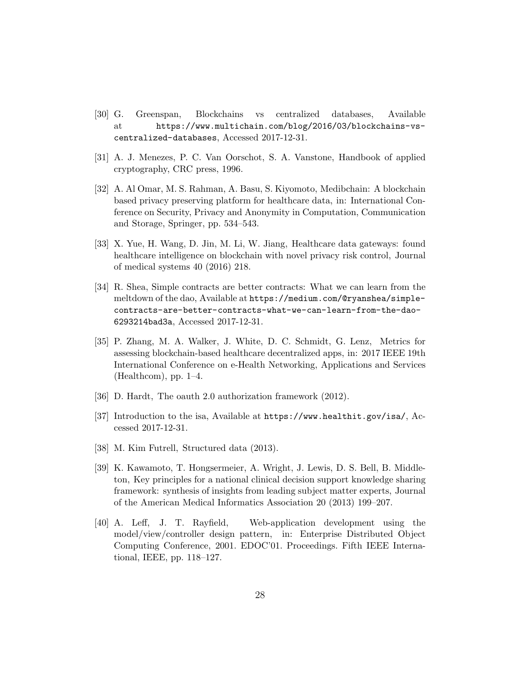- [30] G. Greenspan, Blockchains vs centralized databases, Available at https://www.multichain.com/blog/2016/03/blockchains-vscentralized-databases, Accessed 2017-12-31.
- [31] A. J. Menezes, P. C. Van Oorschot, S. A. Vanstone, Handbook of applied cryptography, CRC press, 1996.
- [32] A. Al Omar, M. S. Rahman, A. Basu, S. Kiyomoto, Medibchain: A blockchain based privacy preserving platform for healthcare data, in: International Conference on Security, Privacy and Anonymity in Computation, Communication and Storage, Springer, pp. 534–543.
- [33] X. Yue, H. Wang, D. Jin, M. Li, W. Jiang, Healthcare data gateways: found healthcare intelligence on blockchain with novel privacy risk control, Journal of medical systems 40 (2016) 218.
- [34] R. Shea, Simple contracts are better contracts: What we can learn from the meltdown of the dao, Available at https://medium.com/@ryanshea/simplecontracts-are-better-contracts-what-we-can-learn-from-the-dao-6293214bad3a, Accessed 2017-12-31.
- [35] P. Zhang, M. A. Walker, J. White, D. C. Schmidt, G. Lenz, Metrics for assessing blockchain-based healthcare decentralized apps, in: 2017 IEEE 19th International Conference on e-Health Networking, Applications and Services (Healthcom), pp.  $1-4$ .
- [36] D. Hardt, The oauth 2.0 authorization framework (2012).
- [37] Introduction to the isa, Available at https://www.healthit.gov/isa/, Accessed 2017-12-31.
- [38] M. Kim Futrell, Structured data (2013).
- [39] K. Kawamoto, T. Hongsermeier, A. Wright, J. Lewis, D. S. Bell, B. Middleton, Key principles for a national clinical decision support knowledge sharing framework: synthesis of insights from leading subject matter experts, Journal of the American Medical Informatics Association 20 (2013) 199–207.
- [40] A. Leff, J. T. Rayfield, Web-application development using the model/view/controller design pattern, in: Enterprise Distributed Object Computing Conference, 2001. EDOC'01. Proceedings. Fifth IEEE International, IEEE, pp. 118–127.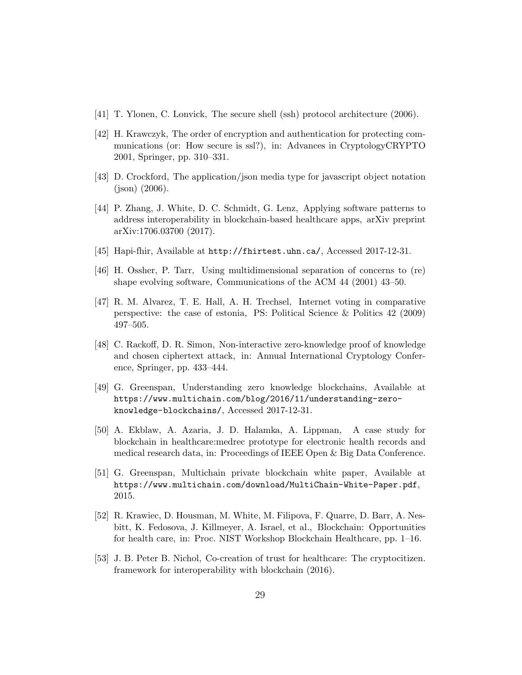- [41] T. Ylonen, C. Lonvick, The secure shell (ssh) protocol architecture (2006).
- [42] H. Krawczyk, The order of encryption and authentication for protecting communications (or: How secure is ssl?), in: Advances in CryptologyCRYPTO 2001, Springer, pp. 310–331.
- [43] D. Crockford, The application/json media type for javascript object notation (json) (2006).
- [44] P. Zhang, J. White, D. C. Schmidt, G. Lenz, Applying software patterns to address interoperability in blockchain-based healthcare apps, arXiv preprint arXiv:1706.03700 (2017).
- [45] Hapi-fhir, Available at http://fhirtest.uhn.ca/, Accessed 2017-12-31.
- [46] H. Ossher, P. Tarr, Using multidimensional separation of concerns to (re) shape evolving software, Communications of the ACM 44 (2001) 43–50.
- [47] R. M. Alvarez, T. E. Hall, A. H. Trechsel, Internet voting in comparative perspective: the case of estonia, PS: Political Science & Politics 42 (2009) 497–505.
- [48] C. Rackoff, D. R. Simon, Non-interactive zero-knowledge proof of knowledge and chosen ciphertext attack, in: Annual International Cryptology Conference, Springer, pp. 433–444.
- [49] G. Greenspan, Understanding zero knowledge blockchains, Available at https://www.multichain.com/blog/2016/11/understanding-zeroknowledge-blockchains/, Accessed 2017-12-31.
- [50] A. Ekblaw, A. Azaria, J. D. Halamka, A. Lippman, A case study for blockchain in healthcare:medrec prototype for electronic health records and medical research data, in: Proceedings of IEEE Open & Big Data Conference.
- [51] G. Greenspan, Multichain private blockchain white paper, Available at https://www.multichain.com/download/MultiChain-White-Paper.pdf, 2015.
- [52] R. Krawiec, D. Housman, M. White, M. Filipova, F. Quarre, D. Barr, A. Nesbitt, K. Fedosova, J. Killmeyer, A. Israel, et al., Blockchain: Opportunities for health care, in: Proc. NIST Workshop Blockchain Healthcare, pp. 1–16.
- [53] J. B. Peter B. Nichol, Co-creation of trust for healthcare: The cryptocitizen. framework for interoperability with blockchain (2016).